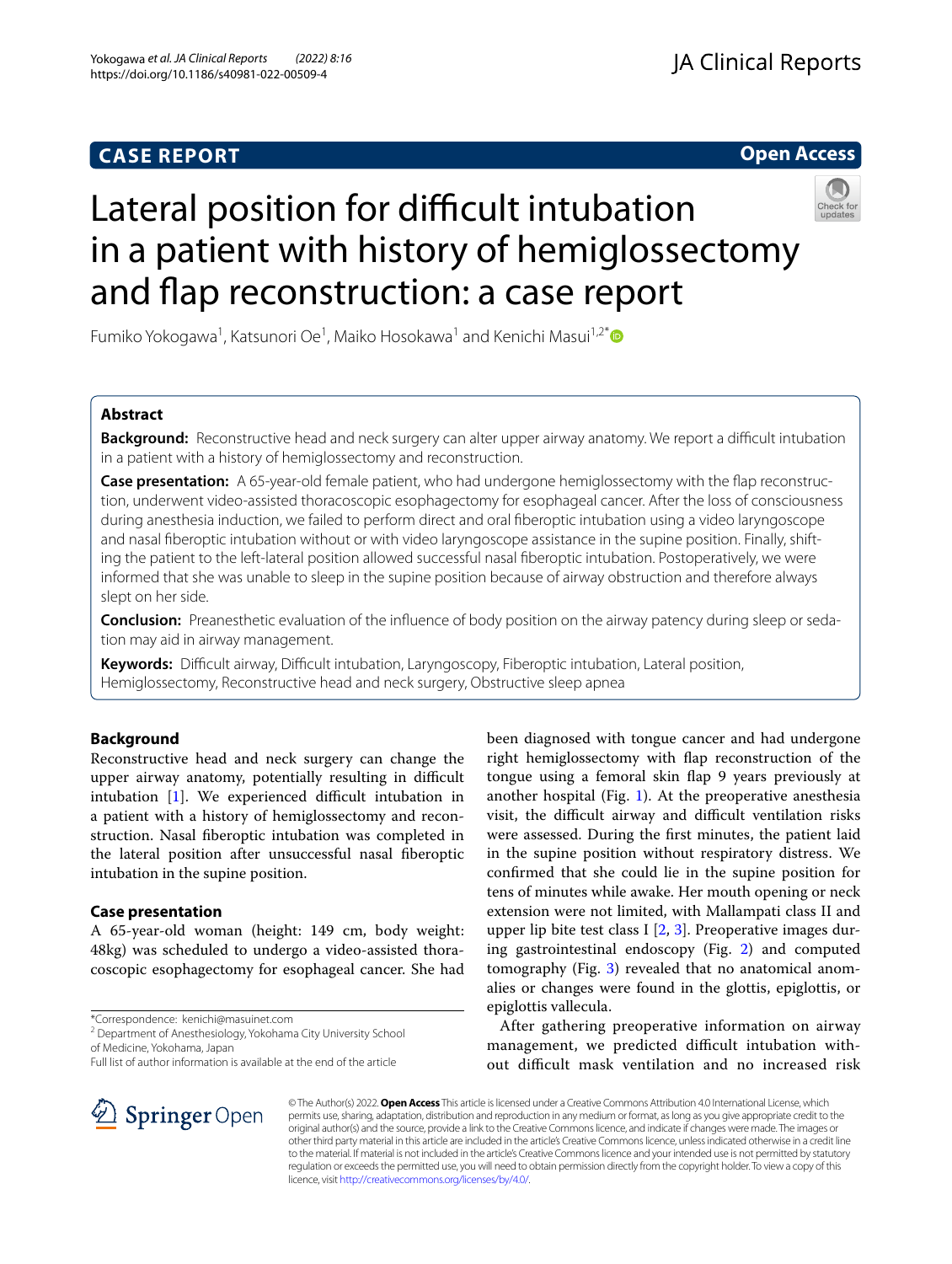# **CASE REPORT**

# **Open Access**



# Lateral position for difficult intubation in a patient with history of hemiglossectomy and fap reconstruction: a case report

Fumiko Yokogawa<sup>1</sup>, Katsunori Oe<sup>1</sup>, Maiko Hosokawa<sup>1</sup> and Kenichi Masui<sup>1,2[\\*](http://orcid.org/0000-0003-4702-9874)</sup>

# **Abstract**

**Background:** Reconstructive head and neck surgery can alter upper airway anatomy. We report a difficult intubation in a patient with a history of hemiglossectomy and reconstruction.

**Case presentation:** A 65-year-old female patient, who had undergone hemiglossectomy with the fap reconstruction, underwent video-assisted thoracoscopic esophagectomy for esophageal cancer. After the loss of consciousness during anesthesia induction, we failed to perform direct and oral fberoptic intubation using a video laryngoscope and nasal fberoptic intubation without or with video laryngoscope assistance in the supine position. Finally, shifting the patient to the left-lateral position allowed successful nasal fberoptic intubation. Postoperatively, we were informed that she was unable to sleep in the supine position because of airway obstruction and therefore always slept on her side.

**Conclusion:** Preanesthetic evaluation of the infuence of body position on the airway patency during sleep or sedation may aid in airway management.

**Keywords:** Difcult airway, Difcult intubation, Laryngoscopy, Fiberoptic intubation, Lateral position, Hemiglossectomy, Reconstructive head and neck surgery, Obstructive sleep apnea

# **Background**

Reconstructive head and neck surgery can change the upper airway anatomy, potentially resulting in difficult intubation  $[1]$  $[1]$ . We experienced difficult intubation in a patient with a history of hemiglossectomy and reconstruction. Nasal fberoptic intubation was completed in the lateral position after unsuccessful nasal fberoptic intubation in the supine position.

# **Case presentation**

A 65-year-old woman (height: 149 cm, body weight: 48kg) was scheduled to undergo a video-assisted thoracoscopic esophagectomy for esophageal cancer. She had

\*Correspondence: kenichi@masuinet.com

<sup>2</sup> Department of Anesthesiology, Yokohama City University School of Medicine, Yokohama, Japan

Full list of author information is available at the end of the article

been diagnosed with tongue cancer and had undergone right hemiglossectomy with fap reconstruction of the tongue using a femoral skin fap 9 years previously at another hospital (Fig. [1\)](#page-1-0). At the preoperative anesthesia visit, the difficult airway and difficult ventilation risks were assessed. During the frst minutes, the patient laid in the supine position without respiratory distress. We confrmed that she could lie in the supine position for tens of minutes while awake. Her mouth opening or neck extension were not limited, with Mallampati class II and upper lip bite test class I  $[2, 3]$  $[2, 3]$  $[2, 3]$  $[2, 3]$ . Preoperative images during gastrointestinal endoscopy (Fig. [2](#page-1-1)) and computed tomography (Fig. [3\)](#page-2-0) revealed that no anatomical anomalies or changes were found in the glottis, epiglottis, or epiglottis vallecula.

After gathering preoperative information on airway management, we predicted difficult intubation without difcult mask ventilation and no increased risk



© The Author(s) 2022. **Open Access** This article is licensed under a Creative Commons Attribution 4.0 International License, which permits use, sharing, adaptation, distribution and reproduction in any medium or format, as long as you give appropriate credit to the original author(s) and the source, provide a link to the Creative Commons licence, and indicate if changes were made. The images or other third party material in this article are included in the article's Creative Commons licence, unless indicated otherwise in a credit line to the material. If material is not included in the article's Creative Commons licence and your intended use is not permitted by statutory regulation or exceeds the permitted use, you will need to obtain permission directly from the copyright holder. To view a copy of this licence, visit [http://creativecommons.org/licenses/by/4.0/.](http://creativecommons.org/licenses/by/4.0/)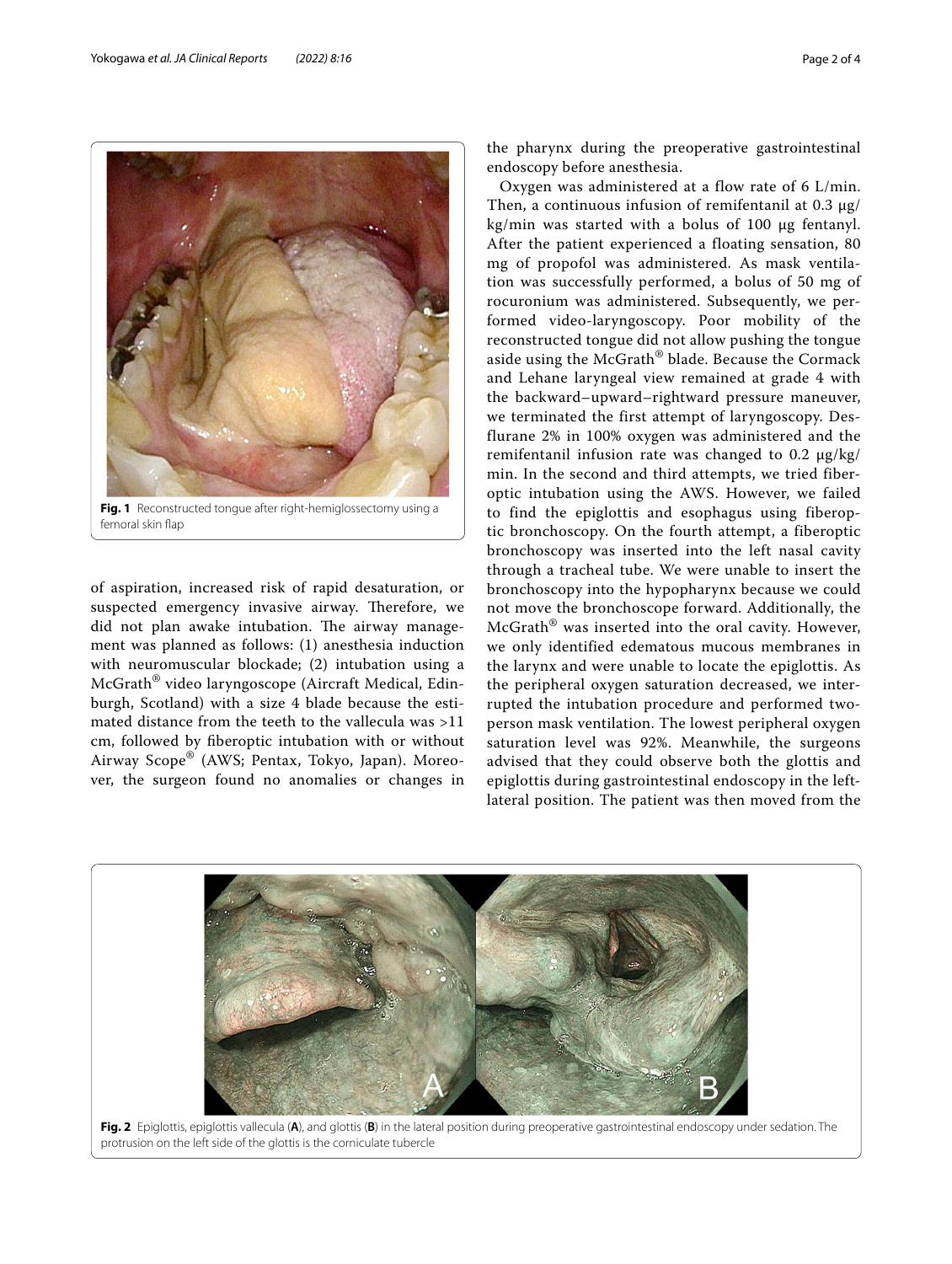

**Fig. 1** Reconstructed tongue after right-hemiglossectomy using a femoral skin flap

<span id="page-1-0"></span>of aspiration, increased risk of rapid desaturation, or suspected emergency invasive airway. Therefore, we did not plan awake intubation. The airway management was planned as follows: (1) anesthesia induction with neuromuscular blockade; (2) intubation using a McGrath® video laryngoscope (Aircraft Medical, Edinburgh, Scotland) with a size 4 blade because the estimated distance from the teeth to the vallecula was >11 cm, followed by fberoptic intubation with or without Airway Scope® (AWS; Pentax, Tokyo, Japan). Moreover, the surgeon found no anomalies or changes in the pharynx during the preoperative gastrointestinal endoscopy before anesthesia.

Oxygen was administered at a flow rate of 6 L/min. Then, a continuous infusion of remifentanil at 0.3 μg/ kg/min was started with a bolus of 100 μg fentanyl. After the patient experienced a floating sensation, 80 mg of propofol was administered. As mask ventilation was successfully performed, a bolus of 50 mg of rocuronium was administered. Subsequently, we performed video-laryngoscopy. Poor mobility of the reconstructed tongue did not allow pushing the tongue aside using the McGrath® blade. Because the Cormack and Lehane laryngeal view remained at grade 4 with the backward–upward–rightward pressure maneuver, we terminated the first attempt of laryngoscopy. Desflurane 2% in 100% oxygen was administered and the remifentanil infusion rate was changed to 0.2 μg/kg/ min. In the second and third attempts, we tried fiberoptic intubation using the AWS. However, we failed to find the epiglottis and esophagus using fiberoptic bronchoscopy. On the fourth attempt, a fiberoptic bronchoscopy was inserted into the left nasal cavity through a tracheal tube. We were unable to insert the bronchoscopy into the hypopharynx because we could not move the bronchoscope forward. Additionally, the McGrath® was inserted into the oral cavity. However, we only identified edematous mucous membranes in the larynx and were unable to locate the epiglottis. As the peripheral oxygen saturation decreased, we interrupted the intubation procedure and performed twoperson mask ventilation. The lowest peripheral oxygen saturation level was 92%. Meanwhile, the surgeons advised that they could observe both the glottis and epiglottis during gastrointestinal endoscopy in the leftlateral position. The patient was then moved from the

<span id="page-1-1"></span>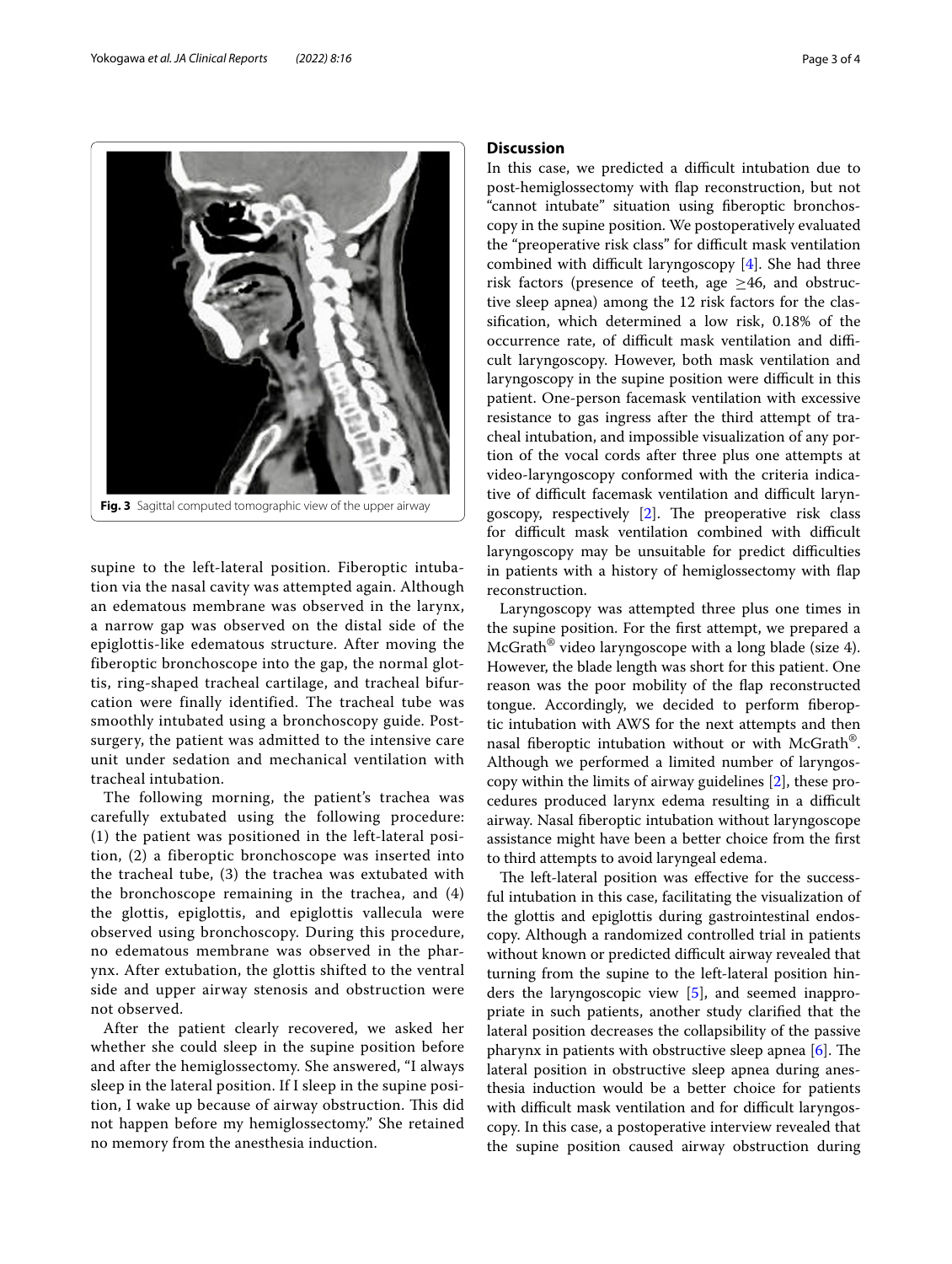

<span id="page-2-0"></span>supine to the left-lateral position. Fiberoptic intubation via the nasal cavity was attempted again. Although an edematous membrane was observed in the larynx, a narrow gap was observed on the distal side of the epiglottis-like edematous structure. After moving the fiberoptic bronchoscope into the gap, the normal glottis, ring-shaped tracheal cartilage, and tracheal bifurcation were finally identified. The tracheal tube was smoothly intubated using a bronchoscopy guide. Postsurgery, the patient was admitted to the intensive care unit under sedation and mechanical ventilation with tracheal intubation.

The following morning, the patient's trachea was carefully extubated using the following procedure: (1) the patient was positioned in the left-lateral position, (2) a fiberoptic bronchoscope was inserted into the tracheal tube, (3) the trachea was extubated with the bronchoscope remaining in the trachea, and (4) the glottis, epiglottis, and epiglottis vallecula were observed using bronchoscopy. During this procedure, no edematous membrane was observed in the pharynx. After extubation, the glottis shifted to the ventral side and upper airway stenosis and obstruction were not observed.

After the patient clearly recovered, we asked her whether she could sleep in the supine position before and after the hemiglossectomy. She answered, "I always sleep in the lateral position. If I sleep in the supine position, I wake up because of airway obstruction. This did not happen before my hemiglossectomy." She retained no memory from the anesthesia induction.

# **Discussion**

In this case, we predicted a difficult intubation due to post-hemiglossectomy with fap reconstruction, but not "cannot intubate" situation using fberoptic bronchoscopy in the supine position. We postoperatively evaluated the "preoperative risk class" for difficult mask ventilation combined with difficult laryngoscopy  $[4]$  $[4]$ . She had three risk factors (presence of teeth, age  $\geq$ 46, and obstructive sleep apnea) among the 12 risk factors for the classifcation, which determined a low risk, 0.18% of the occurrence rate, of difficult mask ventilation and difficult laryngoscopy. However, both mask ventilation and laryngoscopy in the supine position were difficult in this patient. One-person facemask ventilation with excessive resistance to gas ingress after the third attempt of tracheal intubation, and impossible visualization of any portion of the vocal cords after three plus one attempts at video-laryngoscopy conformed with the criteria indicative of difficult facemask ventilation and difficult laryngoscopy, respectively  $[2]$ . The preoperative risk class for difficult mask ventilation combined with difficult laryngoscopy may be unsuitable for predict difficulties in patients with a history of hemiglossectomy with fap reconstruction.

Laryngoscopy was attempted three plus one times in the supine position. For the frst attempt, we prepared a McGrath® video laryngoscope with a long blade (size 4). However, the blade length was short for this patient. One reason was the poor mobility of the fap reconstructed tongue. Accordingly, we decided to perform fberoptic intubation with AWS for the next attempts and then nasal fiberoptic intubation without or with McGrath<sup>®</sup>. Although we performed a limited number of laryngoscopy within the limits of airway guidelines [\[2\]](#page-3-1), these procedures produced larynx edema resulting in a difficult airway. Nasal fberoptic intubation without laryngoscope assistance might have been a better choice from the frst to third attempts to avoid laryngeal edema.

The left-lateral position was effective for the successful intubation in this case, facilitating the visualization of the glottis and epiglottis during gastrointestinal endoscopy. Although a randomized controlled trial in patients without known or predicted difficult airway revealed that turning from the supine to the left-lateral position hinders the laryngoscopic view [[5\]](#page-3-4), and seemed inappropriate in such patients, another study clarifed that the lateral position decreases the collapsibility of the passive pharynx in patients with obstructive sleep apnea  $[6]$  $[6]$ . The lateral position in obstructive sleep apnea during anesthesia induction would be a better choice for patients with difficult mask ventilation and for difficult laryngoscopy. In this case, a postoperative interview revealed that the supine position caused airway obstruction during